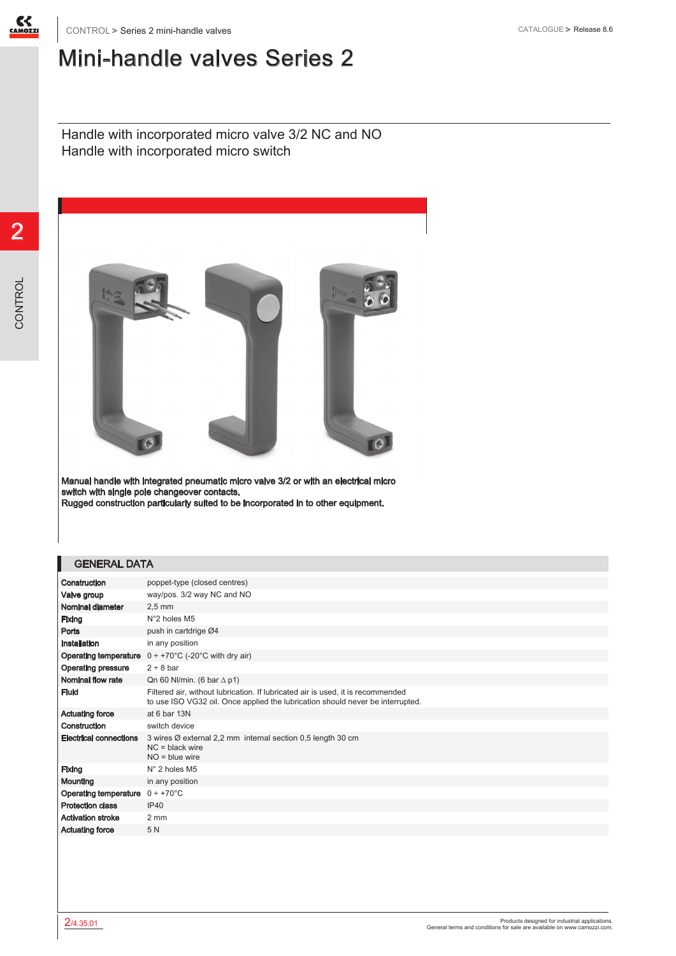

## Mini-handle valves Series 2

Handle with incorporated micro valve 3/2 NC and NO Handle with incorporated micro switch



Manual handle with integrated pneumatic micro valve 3/2 or with an electrical micro switch with single pole changeover contacts. Rugged construction particularly suited to be incorporated in to other equipment.

## GENERAL DATA

| Construction                  | poppet-type (closed centres)                                                                                                                                      |
|-------------------------------|-------------------------------------------------------------------------------------------------------------------------------------------------------------------|
| Valve group                   | way/pos. 3/2 way NC and NO                                                                                                                                        |
| Nominal diameter              | $2.5 \text{ mm}$                                                                                                                                                  |
| Fixing                        | N°2 holes M5                                                                                                                                                      |
| Ports                         | push in cartdrige Ø4                                                                                                                                              |
| Installation                  | in any position                                                                                                                                                   |
| <b>Operating temperature</b>  | $0 \div +70^{\circ}$ C (-20°C with dry air)                                                                                                                       |
| <b>Operating pressure</b>     | 2 ÷ 8 bar                                                                                                                                                         |
| Nominal flow rate             | Qn 60 Nl/min. (6 bar $\Delta$ p1)                                                                                                                                 |
| <b>Fluid</b>                  | Filtered air, without lubrication. If lubricated air is used, it is recommended<br>to use ISO VG32 oil. Once applied the lubrication should never be interrupted. |
| <b>Actuating force</b>        | at 6 bar 13N                                                                                                                                                      |
| Construction                  | switch device                                                                                                                                                     |
| <b>Electrical connections</b> | 3 wires Ø external 2,2 mm internal section 0,5 length 30 cm<br>$NC = black$ wire<br>$NO = blue wire$                                                              |
| Fixing                        | $N^{\circ}$ 2 holes M5                                                                                                                                            |
| Mounting                      | in any position                                                                                                                                                   |
| <b>Operating temperature</b>  | $0 \div +70^{\circ}$ C                                                                                                                                            |
| <b>Protection class</b>       | <b>IP40</b>                                                                                                                                                       |
| <b>Activation stroke</b>      | 2 mm                                                                                                                                                              |
| <b>Actuating force</b>        | 5N                                                                                                                                                                |
|                               |                                                                                                                                                                   |